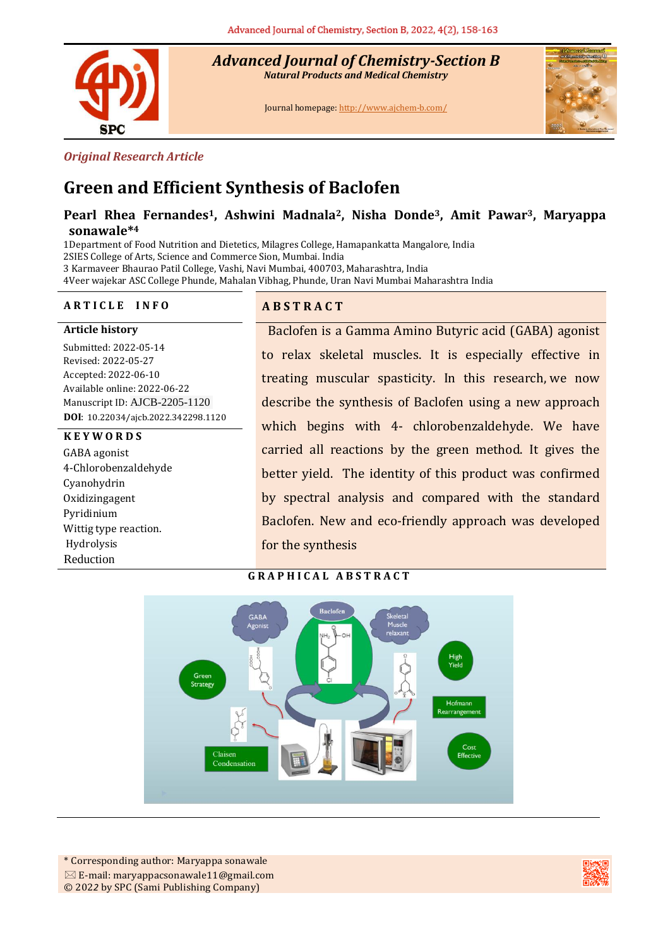

*Advanced Journal of Chemistry-Section B Natural Products and Medical Chemistry* 

Journal homepage[: http://www.ajchem-b.com/](http://www.ajchem-b.com/)



#### *Original Research Article*

# **Green and Efficient Synthesis of Baclofen**

# **Pearl Rhea Fernandes1, Ashwini Madnala2, Nisha Donde3, Amit Pawar3, Maryappa sonawale\* 4**

1Department of Food Nutrition and Dietetics, Milagres College, Hamapankatta Mangalore, India 2SIES College of Arts, Science and Commerce Sion, Mumbai. India 3 Karmaveer Bhaurao Patil College, Vashi, Navi Mumbai, 400703, Maharashtra, India 4Veer wajekar ASC College Phunde, Mahalan Vibhag, Phunde, Uran Navi Mumbai Maharashtra India

#### **A R T I C L E I N F O A B S T R A C T**

**Article history**

Submitted: 2022-05-14 Revised: 2022-05-27 Accepted: 2022-06-10 Available online: 2022-06-22 Manuscript ID: AJCB-2205-1120 **DOI**: 10.22034/ajcb.2022.342298.1120

#### **K E Y W O R D S**

GABA agonist 4-Chlorobenzaldehyde Cyanohydrin Oxidizingagent Pyridinium Wittig type reaction. Hydrolysis Reduction

Baclofen is a Gamma Amino Butyric acid (GABA) agonist to relax skeletal muscles. It is especially effective in treating muscular spasticity. In this research, we now describe the synthesis of Baclofen using a new approach which begins with 4- chlorobenzaldehyde. We have carried all reactions by the green method. It gives the better yield. The identity of this product was confirmed by spectral analysis and compared with the standard Baclofen. New and eco-friendly approach was developed for the synthesis





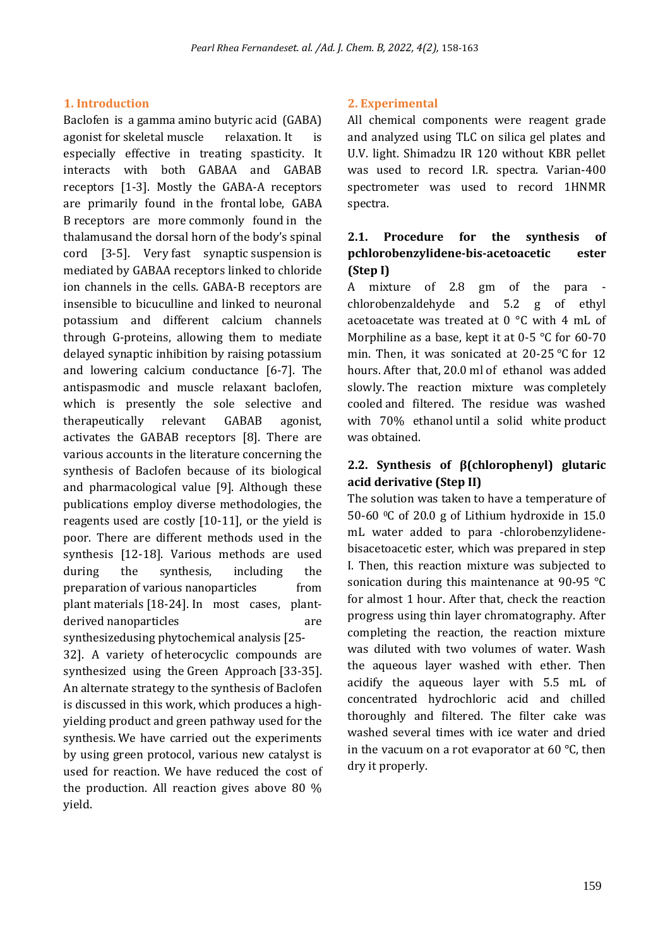#### **1. Introduction**

Baclofen is a gamma amino butyric acid (GABA) agonist for skeletal muscle relaxation. It is especially effective in treating spasticity. It interacts with both GABAA and GABAB receptors [1-3]. Mostly the GABA-A receptors are primarily found in the frontal lobe, GABA B receptors are more commonly found in the thalamusand the dorsal horn of the body's spinal cord [3-5]. Very fast synaptic suspension is mediated by GABAA receptors linked to chloride ion channels in the cells. GABA-B receptors are insensible to bicuculline and linked to neuronal potassium and different calcium channels through G-proteins, allowing them to mediate delayed synaptic inhibition by raising potassium and lowering calcium conductance [6-7]. The antispasmodic and muscle relaxant baclofen, which is presently the sole selective and therapeutically relevant GABAB agonist, activates the GABAB receptors [8]. There are various accounts in the literature concerning the synthesis of Baclofen because of its biological and pharmacological value [9]. Although these publications employ diverse methodologies, the reagents used are costly [10-11], or the yield is poor. There are different methods used in the synthesis [12-18]. Various methods are used during the synthesis, including the preparation of various nanoparticles from plant materials [18-24]. In most cases, plantderived nanoparticles are are synthesizedusing phytochemical analysis [25-

32]. A variety of heterocyclic compounds are synthesized using the Green Approach [33-35]. An alternate strategy to the synthesis of Baclofen is discussed in this work, which produces a highyielding product and green pathway used for the synthesis. We have carried out the experiments by using green protocol, various new catalyst is used for reaction. We have reduced the cost of the production. All reaction gives above 80 % yield.

# **2. Experimental**

All chemical components were reagent grade and analyzed using TLC on silica gel plates and U.V. light. Shimadzu IR 120 without KBR pellet was used to record I.R. spectra. Varian-400 spectrometer was used to record 1HNMR spectra.

# **2.1. Procedure for the synthesis of pchlorobenzylidene-bis-acetoacetic ester (Step I)**

A mixture of 2.8 gm of the para chlorobenzaldehyde and 5.2 g of ethyl acetoacetate was treated at 0 °C with 4 mL of Morphiline as a base, kept it at 0-5 °C for 60-70 min. Then, it was sonicated at 20-25 °C for 12 hours. After that, 20.0 ml of ethanol was added slowly. The reaction mixture was completely cooled and filtered. The residue was washed with 70% ethanol until a solid white product was obtained.

# **2.2. Synthesis of β(chlorophenyl) glutaric acid derivative (Step II)**

The solution was taken to have a temperature of 50-60  $\degree$ C of 20.0 g of Lithium hydroxide in 15.0 mL water added to para -chlorobenzylidenebisacetoacetic ester, which was prepared in step I. Then, this reaction mixture was subjected to sonication during this maintenance at 90-95 °C for almost 1 hour. After that, check the reaction progress using thin layer chromatography. After completing the reaction, the reaction mixture was diluted with two volumes of water. Wash the aqueous layer washed with ether. Then acidify the aqueous layer with 5.5 mL of concentrated hydrochloric acid and chilled thoroughly and filtered. The filter cake was washed several times with ice water and dried in the vacuum on a rot evaporator at 60 °C, then dry it properly.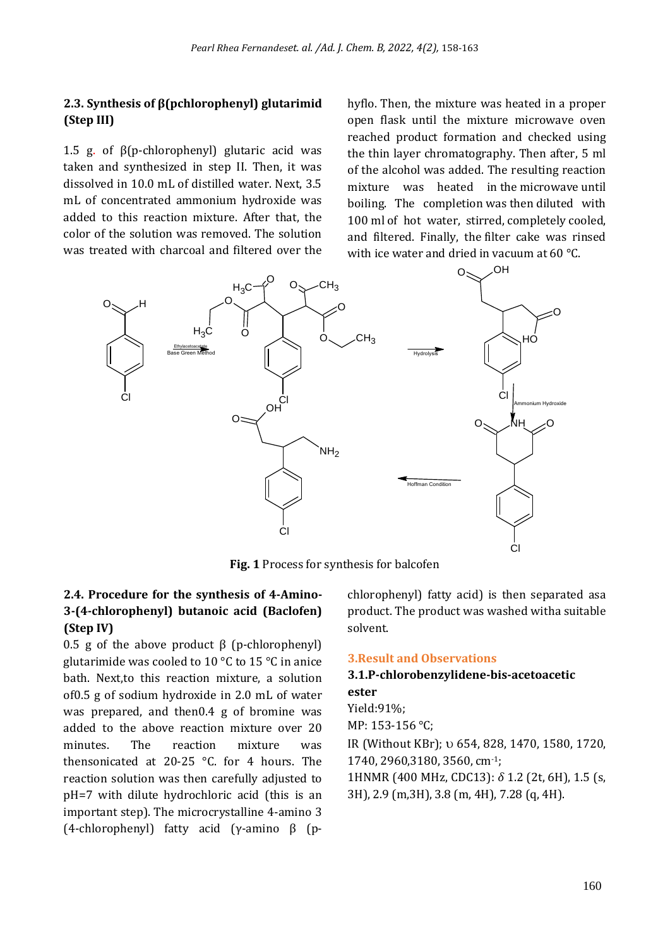#### **2.3. Synthesis of β(pchlorophenyl) glutarimid (Step III)**

1.5 g. of β(p-chlorophenyl) glutaric acid was taken and synthesized in step II. Then, it was dissolved in 10.0 mL of distilled water. Next, 3.5 mL of concentrated ammonium hydroxide was added to this reaction mixture. After that, the color of the solution was removed. The solution was treated with charcoal and filtered over the hyflo. Then, the mixture was heated in a proper open flask until the mixture microwave oven reached product formation and checked using the thin layer chromatography. Then after, 5 ml of the alcohol was added. The resulting reaction mixture was heated in the microwave until boiling. The completion was then diluted with 100 ml of hot water, stirred, completely cooled, and filtered. Finally, the filter cake was rinsed with ice water and dried in vacuum at 60 °C.



**Fig. 1** Process for synthesis for balcofen

# **2.4. Procedure for the synthesis of 4-Amino-3-(4-chlorophenyl) butanoic acid (Baclofen) (Step IV)**

0.5 g of the above product  $β$  (p-chlorophenyl) glutarimide was cooled to 10 °C to 15 °C in anice bath. Next,to this reaction mixture, a solution of0.5 g of sodium hydroxide in 2.0 mL of water was prepared, and then0.4 g of bromine was added to the above reaction mixture over 20 minutes. The reaction mixture was thensonicated at 20-25 °C. for 4 hours. The reaction solution was then carefully adjusted to pH=7 with dilute hydrochloric acid (this is an important step). The microcrystalline 4-amino 3 (4-chlorophenyl) fatty acid (γ-amino β (pchlorophenyl) fatty acid) is then separated asa product. The product was washed witha suitable solvent.

#### **3.Result and Observations**

#### **3.1.P-chlorobenzylidene-bis-acetoacetic ester**

Yield:91%; MP: 153-156 °C; IR (Without KBr); 654, 828, 1470, 1580, 1720, 1740, 2960,3180, 3560, cm-1; 1HNMR (400 MHz, CDC13): *δ* 1.2 (2t, 6H), 1.5 (s, 3H), 2.9 (m,3H), 3.8 (m, 4H), 7.28 (q, 4H).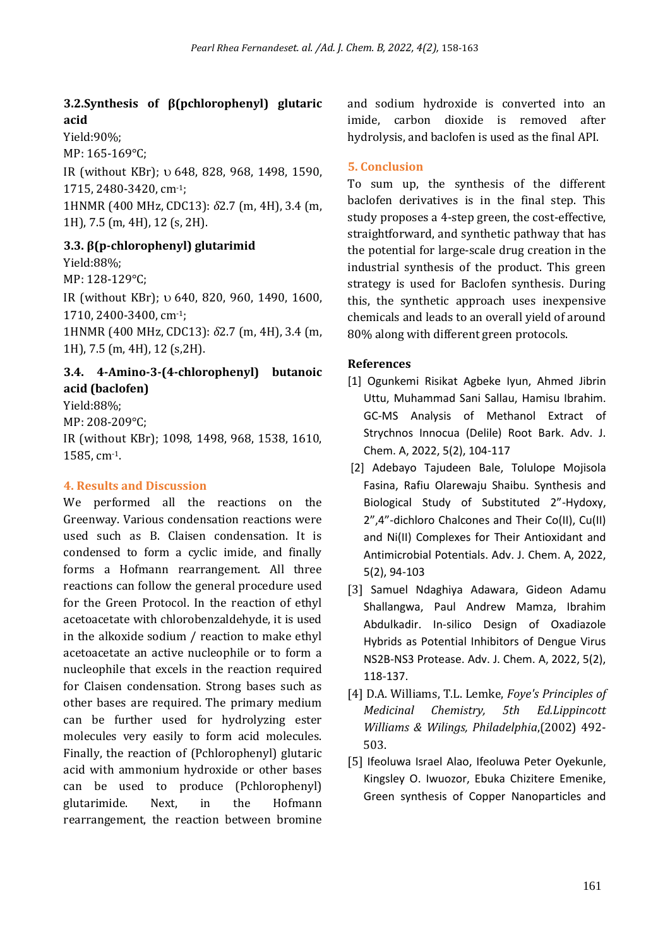# **3.2.Synthesis of β(pchlorophenyl) glutaric acid**

Yield:90%;

MP: 165-169°C;

IR (without KBr);  $\upsilon$  648, 828, 968, 1498, 1590, 1715, 2480-3420, cm-1;

1HNMR (400 MHz, CDC13): *δ*2.7 (m, 4H), 3.4 (m, 1H), 7.5 (m, 4H), 12 (s, 2H).

**3.3. β(p-chlorophenyl) glutarimid**

Yield:88%;

MP: 128-129°C;

IR (without KBr);  $\upsilon$  640, 820, 960, 1490, 1600, 1710, 2400-3400, cm-1;

1HNMR (400 MHz, CDC13): *δ*2.7 (m, 4H), 3.4 (m, 1H), 7.5 (m, 4H), 12 (s,2H).

# **3.4. 4-Amino-3-(4-chlorophenyl) butanoic acid (baclofen)**

Yield:88%; MP: 208-209°C;

IR (without KBr); 1098, 1498, 968, 1538, 1610, 1585, cm-1.

# **4. Results and Discussion**

We performed all the reactions on the Greenway. Various condensation reactions were used such as B. Claisen condensation. It is condensed to form a cyclic imide, and finally forms a Hofmann rearrangement. All three reactions can follow the general procedure used for the Green Protocol. In the reaction of ethyl acetoacetate with chlorobenzaldehyde, it is used in the alkoxide sodium / reaction to make ethyl acetoacetate an active nucleophile or to form a nucleophile that excels in the reaction required for Claisen condensation. Strong bases such as other bases are required. The primary medium can be further used for hydrolyzing ester molecules very easily to form acid molecules. Finally, the reaction of (Pchlorophenyl) glutaric acid with ammonium hydroxide or other bases can be used to produce (Pchlorophenyl) glutarimide. Next, in the Hofmann rearrangement, the reaction between bromine and sodium hydroxide is converted into an imide, carbon dioxide is removed after hydrolysis, and baclofen is used as the final API.

# **5. Conclusion**

To sum up, the synthesis of the different baclofen derivatives is in the final step. This study proposes a 4-step green, the cost-effective, straightforward, and synthetic pathway that has the potential for large-scale drug creation in the industrial synthesis of the product. This green strategy is used for Baclofen synthesis. During this, the synthetic approach uses inexpensive chemicals and leads to an overall yield of around 80% along with different green protocols.

# **References**

- [1] Ogunkemi Risikat Agbeke Iyun, Ahmed Jibrin Uttu, Muhammad Sani Sallau, Hamisu Ibrahim. GC-MS Analysis of Methanol Extract of Strychnos Innocua (Delile) Root Bark. Adv. J. Chem. A, 2022, 5(2), 104-117
- [2] Adebayo Tajudeen Bale, Tolulope Mojisola Fasina, Rafiu Olarewaju Shaibu. Synthesis and Biological Study of Substituted 2"-Hydoxy, 2",4"-dichloro Chalcones and Their Co(II), Cu(II) and Ni(II) Complexes for Their Antioxidant and Antimicrobial Potentials. Adv. J. Chem. A, 2022, 5(2), 94-103
- [3] Samuel Ndaghiya Adawara, Gideon Adamu Shallangwa, Paul Andrew Mamza, Ibrahim Abdulkadir. In-silico Design of Oxadiazole Hybrids as Potential Inhibitors of Dengue Virus NS2B-NS3 Protease. Adv. J. Chem. A, 2022, 5(2), 118-137.
- [4] D.A. Williams, T.L. Lemke, *Foye's Principles of Medicinal Chemistry, 5th Ed.Lippincott Williams & Wilings, Philadelphia*,(2002) 492- 503.
- [5] Ifeoluwa Israel Alao, Ifeoluwa Peter Oyekunle, Kingsley O. Iwuozor, Ebuka Chizitere Emenike, Green synthesis of Copper Nanoparticles and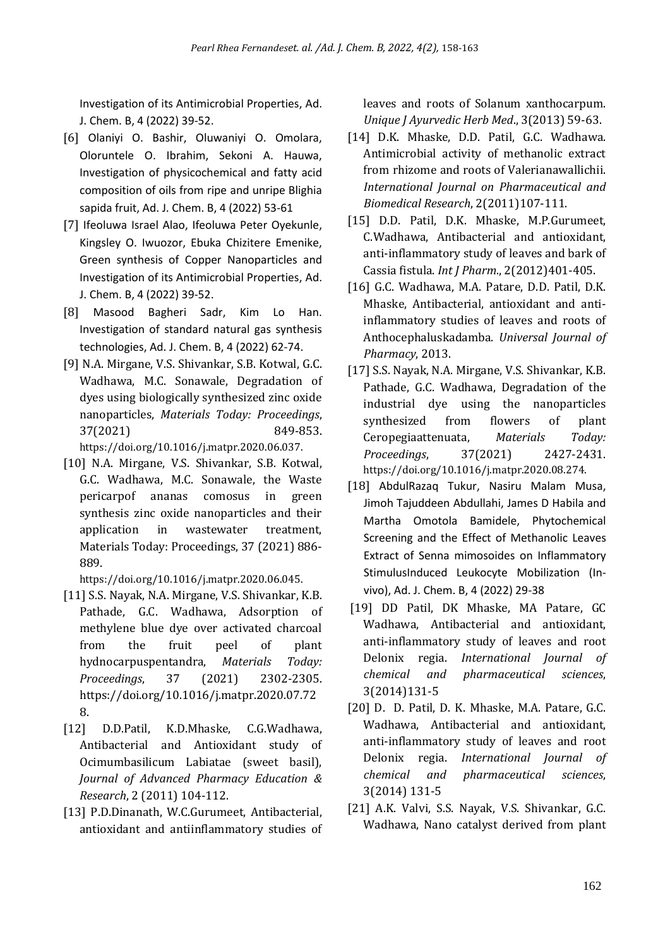Investigation of its Antimicrobial Properties, Ad. J. Chem. B, 4 (2022) 39-52.

- [6] Olaniyi O. Bashir, Oluwaniyi O. Omolara, Oloruntele O. Ibrahim, Sekoni A. Hauwa, Investigation of physicochemical and fatty acid composition of oils from ripe and unripe Blighia sapida fruit, Ad. J. Chem. B, 4 (2022) 53-61
- [7] Ifeoluwa Israel Alao, Ifeoluwa Peter Oyekunle, Kingsley O. Iwuozor, Ebuka Chizitere Emenike, Green synthesis of Copper Nanoparticles and Investigation of its Antimicrobial Properties, Ad. J. Chem. B, 4 (2022) 39-52.
- [8] Masood Bagheri Sadr, Kim Lo Han. Investigation of standard natural gas synthesis technologies, Ad. J. Chem. B, 4 (2022) 62-74.
- [9] N.A. Mirgane, V.S. Shivankar, S.B. Kotwal, G.C. Wadhawa, M.C. Sonawale, Degradation of dyes using biologically synthesized zinc oxide nanoparticles, *Materials Today: Proceedings*, 37(2021) 849-853. https://doi.org/10.1016/j.matpr.2020.06.037.
- [10] N.A. Mirgane, V.S. Shivankar, S.B. Kotwal, G.C. Wadhawa, M.C. Sonawale, the Waste pericarpof ananas comosus in green synthesis zinc oxide nanoparticles and their application in wastewater treatment, Materials Today: Proceedings, 37 (2021) 886- 889.

https://doi.org/10.1016/j.matpr.2020.06.045.

- [11] S.S. Nayak, N.A. Mirgane, V.S. Shivankar, K.B. Pathade, G.C. Wadhawa, Adsorption of methylene blue dye over activated charcoal from the fruit peel of plant hydnocarpuspentandra, *Materials Today: Proceedings*, 37 (2021) 2302-2305. https://doi.org/10.1016/j.matpr.2020.07.72 8.
- [12] D.D.Patil, K.D.Mhaske, C.G.Wadhawa, Antibacterial and Antioxidant study of Ocimumbasilicum Labiatae (sweet basil), *Journal of Advanced Pharmacy Education & Research*, 2 (2011) 104-112.
- [13] P.D.Dinanath, W.C.Gurumeet, Antibacterial, antioxidant and antiinflammatory studies of

leaves and roots of Solanum xanthocarpum. *Unique J Ayurvedic Herb Med*., 3(2013) 59-63.

- [14] D.K. Mhaske, D.D. Patil, G.C. Wadhawa. Antimicrobial activity of methanolic extract from rhizome and roots of Valerianawallichii. *International Journal on Pharmaceutical and Biomedical Research*, 2(2011)107-111.
- [15] D.D. Patil, D.K. Mhaske, M.P.Gurumeet, C.Wadhawa, Antibacterial and antioxidant, anti-inflammatory study of leaves and bark of Cassia fistula. *Int J Pharm*., 2(2012)401-405.
- [16] G.C. Wadhawa, M.A. Patare, D.D. Patil, D.K. Mhaske, Antibacterial, antioxidant and antiinflammatory studies of leaves and roots of Anthocephaluskadamba. *Universal Journal of Pharmacy*, 2013.
- [17] S.S. Nayak, N.A. Mirgane, V.S. Shivankar, K.B. Pathade, G.C. Wadhawa, Degradation of the industrial dye using the nanoparticles synthesized from flowers of plant Ceropegiaattenuata, *Materials Today: Proceedings*, 37(2021) 2427-2431. https://doi.org/10.1016/j.matpr.2020.08.274.
- [18] AbdulRazaq Tukur, Nasiru Malam Musa, Jimoh Tajuddeen Abdullahi, James D Habila and Martha Omotola Bamidele, Phytochemical Screening and the Effect of Methanolic Leaves Extract of Senna mimosoides on Inflammatory StimulusInduced Leukocyte Mobilization (Invivo), Ad. J. Chem. B, 4 (2022) 29-38
- [19] DD Patil, DK Mhaske, MA Patare, GC Wadhawa, Antibacterial and antioxidant, anti-inflammatory study of leaves and root Delonix regia. *International Journal of chemical and pharmaceutical sciences*, 3(2014)131-5
- [20] D. D. Patil, D. K. Mhaske, M.A. Patare, G.C. Wadhawa, Antibacterial and antioxidant, anti-inflammatory study of leaves and root Delonix regia. *International Journal of chemical and pharmaceutical sciences*, 3(2014) 131-5
- [21] A.K. Valvi, S.S. Nayak, V.S. Shivankar, G.C. Wadhawa, Nano catalyst derived from plant